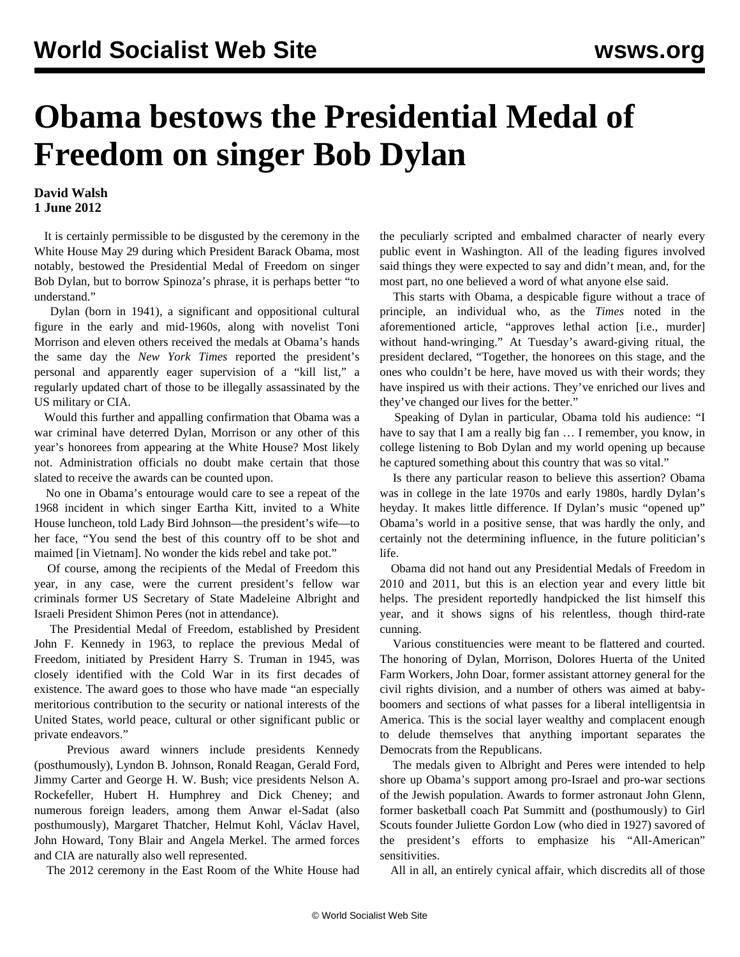## **Obama bestows the Presidential Medal of Freedom on singer Bob Dylan**

## **David Walsh 1 June 2012**

 It is certainly permissible to be disgusted by the ceremony in the White House May 29 during which President Barack Obama, most notably, bestowed the Presidential Medal of Freedom on singer Bob Dylan, but to borrow Spinoza's phrase, it is perhaps better "to understand."

 Dylan (born in 1941), a significant and oppositional cultural figure in the early and mid-1960s, along with novelist Toni Morrison and eleven others received the medals at Obama's hands the same day the *New York Times* reported the president's personal and apparently eager supervision of a "kill list," a regularly updated chart of those to be illegally assassinated by the US military or CIA.

 Would this further and appalling confirmation that Obama was a war criminal have deterred Dylan, Morrison or any other of this year's honorees from appearing at the White House? Most likely not. Administration officials no doubt make certain that those slated to receive the awards can be counted upon.

 No one in Obama's entourage would care to see a repeat of the 1968 incident in which singer Eartha Kitt, invited to a White House luncheon, told Lady Bird Johnson—the president's wife—to her face, "You send the best of this country off to be shot and maimed [in Vietnam]. No wonder the kids rebel and take pot."

 Of course, among the recipients of the Medal of Freedom this year, in any case, were the current president's fellow war criminals former US Secretary of State Madeleine Albright and Israeli President Shimon Peres (not in attendance).

 The Presidential Medal of Freedom, established by President John F. Kennedy in 1963, to replace the previous Medal of Freedom, initiated by President Harry S. Truman in 1945, was closely identified with the Cold War in its first decades of existence. The award goes to those who have made "an especially meritorious contribution to the security or national interests of the United States, world peace, cultural or other significant public or private endeavors."

 Previous award winners include presidents Kennedy (posthumously), Lyndon B. Johnson, Ronald Reagan, Gerald Ford, Jimmy Carter and George H. W. Bush; vice presidents Nelson A. Rockefeller, Hubert H. Humphrey and Dick Cheney; and numerous foreign leaders, among them Anwar el-Sadat (also posthumously), Margaret Thatcher, Helmut Kohl, Václav Havel, John Howard, Tony Blair and Angela Merkel. The armed forces and CIA are naturally also well represented.

The 2012 ceremony in the East Room of the White House had

the peculiarly scripted and embalmed character of nearly every public event in Washington. All of the leading figures involved said things they were expected to say and didn't mean, and, for the most part, no one believed a word of what anyone else said.

 This starts with Obama, a despicable figure without a trace of principle, an individual who, as the *Times* noted in the aforementioned article, "approves lethal action [i.e., murder] without hand-wringing." At Tuesday's award-giving ritual, the president declared, "Together, the honorees on this stage, and the ones who couldn't be here, have moved us with their words; they have inspired us with their actions. They've enriched our lives and they've changed our lives for the better."

 Speaking of Dylan in particular, Obama told his audience: "I have to say that I am a really big fan … I remember, you know, in college listening to Bob Dylan and my world opening up because he captured something about this country that was so vital."

 Is there any particular reason to believe this assertion? Obama was in college in the late 1970s and early 1980s, hardly Dylan's heyday. It makes little difference. If Dylan's music "opened up" Obama's world in a positive sense, that was hardly the only, and certainly not the determining influence, in the future politician's life.

 Obama did not hand out any Presidential Medals of Freedom in 2010 and 2011, but this is an election year and every little bit helps. The president reportedly handpicked the list himself this year, and it shows signs of his relentless, though third-rate cunning.

 Various constituencies were meant to be flattered and courted. The honoring of Dylan, Morrison, Dolores Huerta of the United Farm Workers, John Doar, former assistant attorney general for the civil rights division, and a number of others was aimed at babyboomers and sections of what passes for a liberal intelligentsia in America. This is the social layer wealthy and complacent enough to delude themselves that anything important separates the Democrats from the Republicans.

 The medals given to Albright and Peres were intended to help shore up Obama's support among pro-Israel and pro-war sections of the Jewish population. Awards to former astronaut John Glenn, former basketball coach Pat Summitt and (posthumously) to Girl Scouts founder Juliette Gordon Low (who died in 1927) savored of the president's efforts to emphasize his "All-American" sensitivities.

All in all, an entirely cynical affair, which discredits all of those